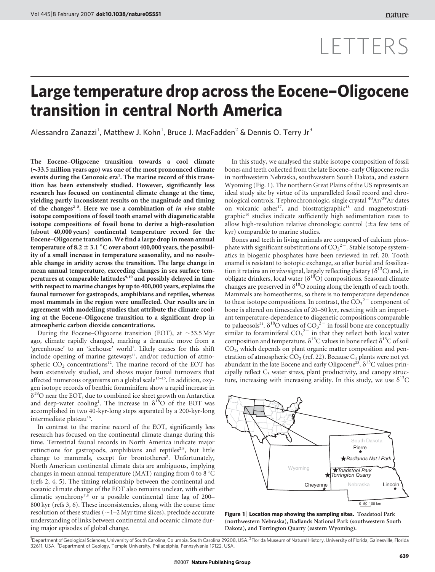## LETTERS

## Large temperature drop across the Eocene–Oligocene transition in central North America

Alessandro Zanazzi<sup>1</sup>, Matthew J. Kohn<sup>1</sup>, Bruce J. MacFadden<sup>2</sup> & Dennis O. Terry Jr<sup>3</sup>

The Eocene–Oligocene transition towards a cool climate  $(\sim$ 33.5 million years ago) was one of the most pronounced climate events during the Cenozoic era<sup>1</sup>. The marine record of this transition has been extensively studied. However, significantly less research has focused on continental climate change at the time, yielding partly inconsistent results on the magnitude and timing of the changes<sup>2-8</sup>. Here we use a combination of in vivo stable isotope compositions of fossil tooth enamel with diagenetic stable isotope compositions of fossil bone to derive a high-resolution (about 40,000 years) continental temperature record for the Eocene–Oligocene transition. We find a large drop in mean annual temperature of  $8.2 \pm 3.1$  °C over about 400,000 years, the possibility of a small increase in temperature seasonality, and no resolvable change in aridity across the transition. The large change in mean annual temperature, exceeding changes in sea surface temperatures at comparable latitudes<sup>9,10</sup> and possibly delayed in time with respect to marine changes by up to 400,000 years, explains the faunal turnover for gastropods, amphibians and reptiles, whereas most mammals in the region were unaffected. Our results are in agreement with modelling studies that attribute the climate cooling at the Eocene–Oligocene transition to a significant drop in atmospheric carbon dioxide concentrations.

During the Eocene–Oligocene transition (EOT), at  $\sim$ 33.5 Myr ago, climate rapidly changed, marking a dramatic move from a 'greenhouse' to an 'icehouse' world<sup>1</sup>. Likely causes for this shift include opening of marine gateways<sup>11</sup>, and/or reduction of atmospheric  $CO<sub>2</sub>$  concentrations<sup>12</sup>. The marine record of the EOT has been extensively studied, and shows major faunal turnovers that affected numerous organisms on a global scale<sup>13-15</sup>. In addition, oxygen isotope records of benthic foraminifera show a rapid increase in  $\delta^{18}$ O near the EOT, due to combined ice sheet growth on Antarctica and deep-water cooling<sup>1</sup>. The increase in  $\delta^{18}O$  of the EOT was accomplished in two 40-kyr-long steps separated by a 200-kyr-long intermediate plateau<sup>16</sup>.

In contrast to the marine record of the EOT, significantly less research has focused on the continental climate change during this time. Terrestrial faunal records in North America indicate major extinctions for gastropods, amphibians and reptiles<sup>2,8</sup>, but little change to mammals, except for brontotheres<sup>3</sup>. Unfortunately, North American continental climate data are ambiguous, implying changes in mean annual temperature (MAT) ranging from 0 to 8  $^{\circ}$ C (refs 2, 4, 5). The timing relationship between the continental and oceanic climate change of the EOT also remains unclear, with either climatic synchrony<sup>7,8</sup> or a possible continental time lag of 200-800 kyr (refs 3, 6). These inconsistencies, along with the coarse time resolution of these studies ( $\sim$  1–2 Myr time slices), preclude accurate understanding of links between continental and oceanic climate during major episodes of global change.

In this study, we analysed the stable isotope composition of fossil bones and teeth collected from the late Eocene–early Oligocene rocks in northwestern Nebraska, southwestern South Dakota, and eastern Wyoming (Fig. 1). The northern Great Plains of the US represents an ideal study site by virtue of its unparalleled fossil record and chronological controls. Tephrochronologic, single crystal 40Ar/39Ar dates on volcanic ashes<sup>17</sup>, and biostratigraphic<sup>18</sup> and magnetostratigraphic<sup>19</sup> studies indicate sufficiently high sedimentation rates to allow high-resolution relative chronologic control ( $\pm$ a few tens of kyr) comparable to marine studies.

Bones and teeth in living animals are composed of calcium phosphate with significant substitutions of  $CO_3^2$ . Stable isotope systematics in biogenic phosphates have been reviewed in ref. 20. Tooth enamel is resistant to isotopic exchange, so after burial and fossilization it retains an in vivo signal, largely reflecting dietary ( $\delta^{13}C$ ) and, in obligate drinkers, local water ( $\delta^{18}O$ ) compositions. Seasonal climate changes are preserved in  $\delta^{18}O$  zoning along the length of each tooth. Mammals are homeotherms, so there is no temperature dependence to these isotope compositions. In contrast, the  $CO_3^2$  component of bone is altered on timescales of 20–50 kyr, resetting with an important temperature-dependence to diagenetic compositions comparable to palaeosols<sup>21</sup>.  $\delta^{18}$ O values of CO<sub>3</sub><sup>2</sup> in fossil bone are conceptually similar to foraminiferal  $CO_3^2$  in that they reflect both local water composition and temperature.  $\delta^{13}$ C values in bone reflect  $\delta^{13}$ C of soil  $CO<sub>2</sub>$ , which depends on plant organic matter composition and penetration of atmospheric CO<sub>2</sub> (ref. 22). Because  $C_4$  plants were not yet abundant in the late Eocene and early Oligocene<sup>23</sup>,  $\delta^{13}$ C values principally reflect  $C_3$  water stress, plant productivity, and canopy structure, increasing with increasing aridity. In this study, we use  $\delta^{13}C$ 



Figure 1 | Location map showing the sampling sites. Toadstool Park (northwestern Nebraska), Badlands National Park (southwestern South Dakota), and Torrington Quarry (eastern Wyoming).

<sup>1</sup>Department of Geological Sciences, University of South Carolina, Columbia, South Carolina 29208, USA. <sup>2</sup>Florida Museum of Natural History, University of Florida, Gainesville, Florida 32611, USA. <sup>3</sup> Department of Geology, Temple University, Philadelphia, Pennsylvania 19122, USA.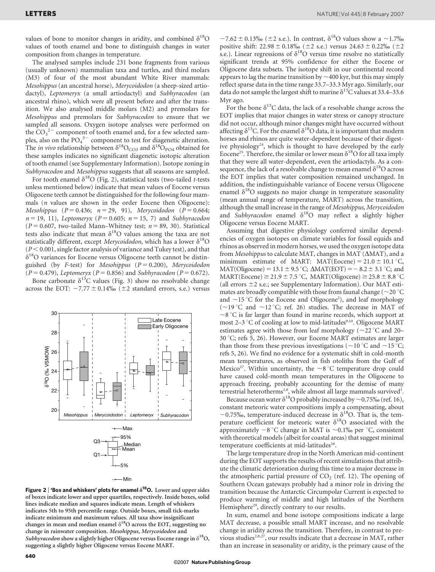values of bone to monitor changes in aridity, and combined  $\delta^{18}O$ values of tooth enamel and bone to distinguish changes in water composition from changes in temperature.

The analysed samples include 231 bone fragments from various (usually unknown) mammalian taxa and turtles, and third molars (M3) of four of the most abundant White River mammals: Mesohippus (an ancestral horse), Merycoidodon (a sheep-sized artiodactyl), Leptomeryx (a small artiodactyl) and Subhyracodon (an ancestral rhino), which were all present before and after the transition. We also analysed middle molars (M2) and premolars for Mesohippus and premolars for Subhyracodon to ensure that we sampled all seasons. Oxygen isotope analyses were performed on the  $CO_3^2$  component of tooth enamel and, for a few selected samples, also on the  $PO_4^{3-}$  component to test for diagenetic alteration. The *in vivo* relationship between  $\delta^{18}O_{CO3}$  and  $\delta^{18}O_{PO4}$  obtained for these samples indicates no significant diagenetic isotopic alteration of tooth enamel (see Supplementary Information). Isotope zoning in Subhyracodon and Mesohippus suggests that all seasons are sampled.

For tooth enamel  $\delta^{18}O$  (Fig. 2), statistical tests (two-tailed *t*-tests unless mentioned below) indicate that mean values of Eocene versus Oligocene teeth cannot be distinguished for the following four mammals ( $n$  values are shown in the order Eocene then Oligocene): Mesohippus (P = 0.436; n = 29, 91), Merycoidodon (P = 0.664;  $n = 19, 11$ ), Leptomeryx (P = 0.605; n = 15, 7) and Subhyracodon ( $P = 0.607$ , two-tailed Mann–Whitney test;  $n = 89, 30$ ). Statistical tests also indicate that mean  $\delta^{18}O$  values among the taxa are not statistically different, except Merycoidodon, which has a lower  $\delta^{18}O$  $(P < 0.001$ , single factor analysis of variance and Tukey test), and that  $\delta^{18}$ O variances for Eocene versus Oligocene teeth cannot be distinguished (by F-test) for Mesohippus ( $P = 0.200$ ), Merycoidodon  $(P = 0.479)$ , Leptomeryx ( $P = 0.856$ ) and Subhyracodon ( $P = 0.672$ ).

Bone carbonate  $\delta^{13}$ C values (Fig. 3) show no resolvable change across the EOT:  $-7.77 \pm 0.14\%$  ( $\pm 2$  standard errors, s.e.) versus



-←Min

Figure 2 | 'Box and whiskers' plots for enamel  $\delta^{18}$ O. Lower and upper sides of boxes indicate lower and upper quartiles, respectively. Inside boxes, solid lines indicate median and squares indicate mean. Length of whiskers indicates 5th to 95th percentile range. Outside boxes, small tick-marks indicate minimum and maximum values. All taxa show insignificant changes in mean and median enamel  $\delta^{18}$ O across the EOT, suggesting no change in rainwater composition. Mesohippus, Merycoidodon and Subhyracodon show a slightly higher Oligocene versus Eocene range in  $\delta^{18}O$ , suggesting a slightly higher Oligocene versus Eocene MART.

 $-7.62 \pm 0.13\%$  ( $\pm 2$  s.e.). In contrast,  $\delta^{18}$ O values show a  $\sim$ 1.7% positive shift:  $22.98 \pm 0.18\%$  ( $\pm 2$  s.e.) versus  $24.63 \pm 0.22\%$  ( $\pm 2$ s.e.). Linear regressions of  $\delta^{18}O$  versus time resolve no statistically significant trends at 95% confidence for either the Eocene or Oligocene data subsets. The isotope shift in our continental record appears to lag the marine transition by  $\sim$  400 kyr, but this may simply reflect sparse data in the time range 33.7–33.3 Myr ago. Similarly, our data do not sample the largest shift to marine  $\delta^{13}$ C values at 33.4–33.6 Myr ago.

For the bone  $\delta^{13}$ C data, the lack of a resolvable change across the EOT implies that major changes in water stress or canopy structure did not occur, although minor changes might have occurred without affecting  $\delta^{13}$ C. For the enamel  $\delta^{18}$ O data, it is important that modern horses and rhinos are quite water-dependent because of their digestive physiology<sup>24</sup>, which is thought to have developed by the early Eocene<sup>25</sup>. Therefore, the similar or lower mean  $\delta^{18}$ O for all taxa imply that they were all water-dependent, even the artiodactyls. As a consequence, the lack of a resolvable change to mean enamel  $\delta^{18}O$  across the EOT implies that water composition remained unchanged. In addition, the indistinguishable variance of Eocene versus Oligocene enamel  $\delta^{18}$ O suggests no major change in temperature seasonality (mean annual range of temperature, MART) across the transition, although the small increase in the range of Mesohippus, Merycoidodon and Subhyracodon enamel  $\delta^{18}O$  may reflect a slightly higher Oligocene versus Eocene MART.

Assuming that digestive physiology conferred similar dependencies of oxygen isotopes on climate variables for fossil equids and rhinos as observed in modern horses, we used the oxygen isotope data from *Mesohippus* to calculate MAT, changes in MAT  $(AMAT)$ , and a minimum estimate of MART: MAT(Eocene) =  $21.0 \pm 10.1$  °C, MAT(Oligocene) = 13.1  $\pm$  9.5 °C;  $\Delta$ MAT(EOT) = - 8.2  $\pm$  3.1 °C; and  $MART(\text{Eocene}) \geq 21.9 \pm 7.5 \degree C$ ,  $MART(\text{Oligocene}) \geq 25.8 \pm 8.8 \degree C$ (all errors  $\pm 2$  s.e.; see Supplementary Information). Our MAT estimates are broadly compatible with those from faunal change ( $\sim$ 20 °C and  $\sim$ 15 °C for the Eocene and Oligocene<sup>2</sup>), and leaf morphology ( $\sim$ 19 °C and  $\sim$ 12 °C; ref. 26) studies. The decrease in MAT of  $\sim8$  °C is far larger than found in marine records, which support at most 2–3 °C of cooling at low to mid-latitudes<sup>9,10</sup>. Oligocene MART estimates agree with those from leaf morphology ( $\sim$ 22 °C and 20–  $30^{\circ}$ C; refs 5, 26). However, our Eocene MART estimates are larger than those from these previous investigations ( $\sim$ 10 °C and  $\sim$ 15 °C; refs 5, 26). We find no evidence for a systematic shift in cold-month mean temperatures, as observed in fish otoliths from the Gulf of Mexico<sup>27</sup>. Within uncertainty, the  $\sim$ 8 °C temperature drop could have caused cold-month mean temperatures in the Oligocene to approach freezing, probably accounting for the demise of many terrestrial heterotherms<sup>2,8</sup>, while almost all large mammals survived<sup>3</sup>.

Because ocean water  $\delta^{18}$ O probably increased by  $\sim 0.75\%$  (ref. 16), constant meteoric water compositions imply a compensating, about  $-0.75\%$ , temperature-induced decrease in  $\delta^{18}$ O. That is, the temperature coefficient for meteoric water  $\delta^{18}O$  associated with the approximately  $-8$  °C change in MAT is  $\sim 0.1\%$  per °C, consistent with theoretical models (albeit for coastal areas) that suggest minimal temperature coefficients at mid-latitudes<sup>28</sup>.

The large temperature drop in the North American mid-continent during the EOT supports the results of recent simulations that attribute the climatic deterioration during this time to a major decrease in the atmospheric partial pressure of  $CO<sub>2</sub>$  (ref. 12). The opening of Southern Ocean gateways probably had a minor role in driving the transition because the Antarctic Circumpolar Current is expected to produce warming of middle and high latitudes of the Northern Hemisphere<sup>29</sup>, directly contrary to our results.

In sum, enamel and bone isotope compositions indicate a large MAT decrease, a possible small MART increase, and no resolvable change in aridity across the transition. Therefore, in contrast to previous studies<sup>2,8,27</sup>, our results indicate that a decrease in MAT, rather than an increase in seasonality or aridity, is the primary cause of the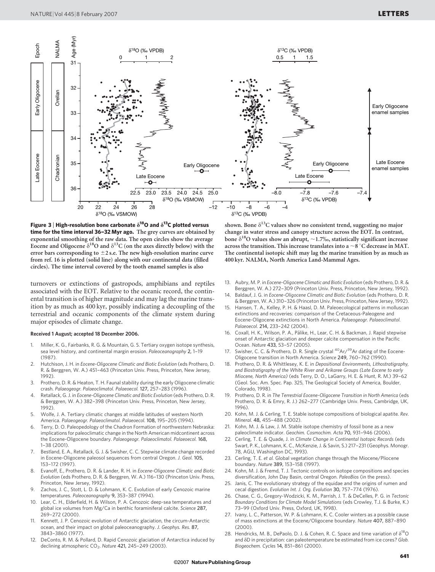

Figure 3 | High-resolution bone carbonate  $\delta^{18}$ O and  $\delta^{13}$ C plotted versus time for the time interval 36-32 Myr ago. The grey curves are obtained by exponential smoothing of the raw data. The open circles show the average Eocene and Oligocene  $\delta^{18}$ O and  $\delta^{13}$ C (on the axes directly below) with the error bars corresponding to  $\pm$ 2 s.e. The new high-resolution marine curve from ref. 16 is plotted (solid line) along with our continental data (filled circles). The time interval covered by the tooth enamel samples is also

turnovers or extinctions of gastropods, amphibians and reptiles associated with the EOT. Relative to the oceanic record, the continental transition is of higher magnitude and may lag the marine transition by as much as 400 kyr, possibly indicating a decoupling of the terrestrial and oceanic components of the climate system during major episodes of climate change.

## Received 1 August; accepted 18 December 2006.

- 1. Miller, K. G., Fairbanks, R. G. & Mountain, G. S. Tertiary oxygen isotope synthesis, sea level history, and continental margin erosion. Paleoceanography 2, 1–19 (1987).
- 2. Hutchison, J. H. in Eocene-Oligocene Climatic and Biotic Evolution (eds Prothero, D. R. & Berggren, W. A.) 451–463 (Princeton Univ. Press, Princeton, New Jersey, 1992).
- 3. Prothero, D. R. & Heaton, T. H. Faunal stability during the early Oligocene climatic crash. Palaeogeogr. Palaeoclimatol. Palaeoecol. 127, 257–283 (1996).
- 4. Retallack, G. J. in Eocene-Oligocene Climatic and Biotic Evolution (eds Prothero, D. R. & Berggren, W. A.) 382–398 (Princeton Univ. Press, Princeton, New Jersey, 1992)
- 5. Wolfe, J. A. Tertiary climatic changes at middle latitudes of western North America. Palaeogeogr. Palaeoclimatol. Palaeoecol. 108, 195–205 (1994).
- 6. Terry, D. O. Paleopedology of the Chadron Formation of northwestern Nebraska: implications for paleoclimatic change in the North American midcontinent across the Eocene-Oligocene boundary. Palaeogeogr. Palaeoclimatol. Palaeoecol. 168, 1–38 (2001).
- 7. Bestland, E. A., Retallack, G. J. & Swisher, C. C. Stepwise climate change recorded in Eocene-Oligocene paleosol sequences from central Oregon. J. Geol. 105, 153–172 (1997).
- 8. Evanoff, E., Prothero, D. R. & Lander, R. H. in Eocene-Oligocene Climatic and Biotic Evolution (eds Prothero, D. R. & Berggren, W. A.) 116–130 (Princeton Univ. Press, Princeton, New Jersey, 1992).
- 9. Zachos, J. C., Stott, L. D. & Lohmann, K. C. Evolution of early Cenozoic marine temperatures. Paleoceanography 9, 353–387 (1994).
- 10. Lear, C. H., Elderfield, H. & Wilson, P. A. Cenozoic deep-sea temperatures and global ice volumes from Mg/Ca in benthic foraminiferal calcite. Science 287, 269–272 (2000).
- 11. Kennett, J. P. Cenozoic evolution of Antarctic glaciation, the circum-Antarctic ocean, and their impact on global paleoceanography. J. Geophys. Res. 87, 3843–3860 (1977).
- 12. DeConto, R. M. & Pollard, D. Rapid Cenozoic glaciation of Antarctica induced by declining atmospheric CO<sub>2</sub>. Nature 421, 245-249 (2003).

shown. Bone  $\delta^{13}$ C values show no consistent trend, suggesting no major change in water stress and canopy structure across the EOT. In contrast, bone  $\delta^{18}$ O values show an abrupt,  $\sim$  1.7‰, statistically significant increase across the transition. This increase translates into a  $\sim$  8 °C decrease in MAT. The continental isotopic shift may lag the marine transition by as much as 400 kyr. NALMA, North America Land-Mammal Ages.

- 13. Aubry, M. P. in Eocene-Oligocene Climatic and Biotic Evolution (eds Prothero, D. R. & Berggren, W. A.) 272–309 (Princeton Univ. Press, Princeton, New Jersey, 1992).
- 14. Baldauf, J. G. in Eocene-Oligocene Climatic and Biotic Evolution (eds Prothero, D. R. & Berggren, W. A.) 310–326 (Princeton Univ. Press, Princeton, New Jersey, 1992).
- 15. Hansen, T. A., Kelley, P. H. & Haasl, D. M. Paleoecological patterns in molluscan extinctions and recoveries: comparison of the Cretaceous-Paleogene and Eocene-Oligocene extinctions in North America. Palaeogeogr. Palaeoclimatol. Palaeoecol. 214, 233–242 (2004).
- 16. Coxall, H. K., Wilson, P. A., Pa¨like, H., Lear, C. H. & Backman, J. Rapid stepwise onset of Antarctic glaciation and deeper calcite compensation in the Pacific Ocean. Nature 433, 53–57 (2005).
- 17. Swisher, C. C. & Prothero, D. R. Single crystal <sup>40</sup>Ar/<sup>39</sup>Ar dating of the Eocene-Oligocene transition in North America. Science 249, 760–762 (1990).
- 18. Prothero, D. R. & Whittlesey, K. E. in Depositional Environments, Lithostratigraphy, and Biostratigraphy of the White River and Arikaree Groups (Late Eocene to early Miocene, North America) (eds Terry, D. O., LaGarry, H. E. & Hunt, R. M.) 39–62 (Geol. Soc. Am. Spec. Pap. 325, The Geological Society of America, Boulder, Colorado, 1998).
- 19. Prothero, D. R. in The Terrestrial Eocene-Oligocene Transition in North America (eds Prothero, D. R. & Emry, R. J.) 262–277 (Cambridge Univ. Press, Cambridge, UK, 1996).
- 20. Kohn, M. J. & Cerling, T. E. Stable isotope compositions of biological apatite. Rev. Mineral. 48, 455–488 (2002).
- 21. Kohn, M. J. & Law, J. M. Stable isotope chemistry of fossil bone as a new paleoclimate indicator. Geochim. Cosmochim. Acta 70, 931–946 (2006).
- 22. Cerling, T. E. & Quade, J. in Climate Change in Continental Isotopic Records (eds Swart, P. K., Lohmann, K. C., McKenzie, J. & Savin, S.) 217–231 (Geophys. Monogr. 78, AGU, Washington DC, 1993).
- 23. Cerling, T. E. et al. Global vegetation change through the Miocene/Pliocene boundary. Nature 389, 153–158 (1997).
- 24. Kohn, M. J. & Fremd, T. J. Tectonic controls on isotope compositions and species diversification, John Day Basin, central Oregon. PaleoBios (in the press).
- 25. Janis, C. The evolutionary strategy of the equidae and the origins of rumen and cecal digestion. Evolution Int. J. Org. Evolution 30, 757–774 (1976).
- 26. Chase, C. G., Gregory-Wodzicki, K. M., Parrish, J. T. & DeCelles, P. G. in Tectonic Boundary Conditions for Climate Model Simulations (eds Crowley, T.J. & Burke, K.) 73–99 (Oxford Univ. Press, Oxford, UK, 1998).
- 27. Ivany, L. C., Patterson, W. P. & Lohmann, K. C. Cooler winters as a possible cause of mass extinctions at the Eocene/Oligocene boundary. Nature 407, 887–890 (2000).
- 28. Hendricks, M. B., DePaolo, D. J. & Cohen, R. C. Space and time variation of  $\delta^{18}O$ and  $\delta$ D in precipitation: can paleotemperature be estimated from ice cores? Glob. Biogeochem. Cycles 14, 851–861 (2000).